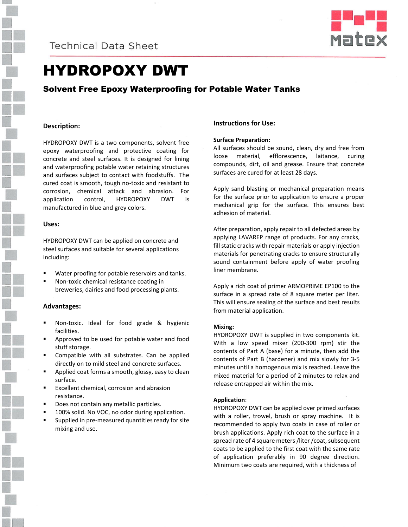



# HYDROPOXY DWT

# Solvent Free Epoxy Waterproofing for Potable Water Tanks

### **Description:**

HYDROPOXY DWT is a two components, solvent free epoxy waterproofing and protective coating for concrete and steel surfaces. It is designed for lining and waterproofing potable water retaining structures and surfaces subject to contact with foodstuffs. The cured coat is smooth, tough no-toxic and resistant to corrosion, chemical attack and abrasion. For application control, HYDROPOXY DWT is manufactured in blue and grey colors.

### **Uses:**

HYDROPOXY DWT can be applied on concrete and steel surfaces and suitable for several applications including:

- Water proofing for potable reservoirs and tanks.
- Non-toxic chemical resistance coating in breweries, dairies and food processing plants.

### **Advantages:**

- Non-toxic. Ideal for food grade & hygienic facilities.
- Approved to be used for potable water and food stuff storage.
- Compatible with all substrates. Can be applied directly on to mild steel and concrete surfaces.
- Applied coat forms a smooth, glossy, easy to clean surface.
- Excellent chemical, corrosion and abrasion resistance.
- Does not contain any metallic particles.
- 100% solid. No VOC, no odor during application.
- Supplied in pre-measured quantities ready for site mixing and use.

### **Instructions for Use:**

### **Surface Preparation:**

All surfaces should be sound, clean, dry and free from loose material, efflorescence, laitance, curing compounds, dirt, oil and grease. Ensure that concrete surfaces are cured for at least 28 days.

Apply sand blasting or mechanical preparation means for the surface prior to application to ensure a proper mechanical grip for the surface. This ensures best adhesion of material.

After preparation, apply repair to all defected areas by applying LAVAREP range of products. For any cracks, fill static cracks with repair materials or apply injection materials for penetrating cracks to ensure structurally sound containment before apply of water proofing liner membrane.

Apply a rich coat of primer ARMOPRIME EP100 to the surface in a spread rate of 8 square meter per liter. This will ensure sealing of the surface and best results from material application.

#### **Mixing:**

HYDROPOXY DWT is supplied in two components kit. With a low speed mixer (200-300 rpm) stir the contents of Part A (base) for a minute, then add the contents of Part B (hardener) and mix slowly for 3-5 minutes until a homogenous mix is reached. Leave the mixed material for a period of 2 minutes to relax and release entrapped air within the mix.

#### **Application**:

HYDROPOXY DWT can be applied over primed surfaces with a roller, trowel, brush or spray machine. It is recommended to apply two coats in case of roller or brush applications. Apply rich coat to the surface in a spread rate of 4 square meters /liter /coat, subsequent coats to be applied to the first coat with the same rate of application preferably in 90 degree direction. Minimum two coats are required, with a thickness of